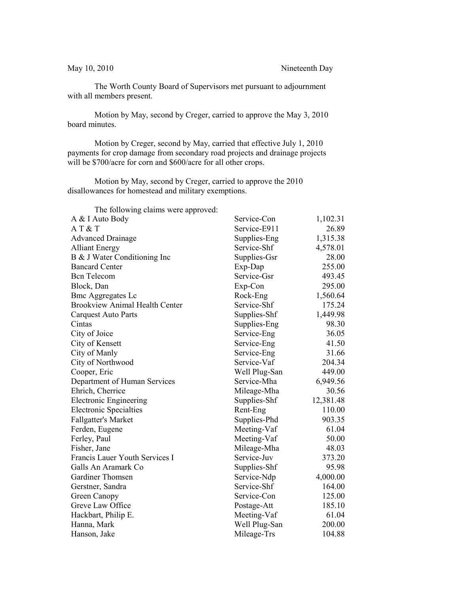The Worth County Board of Supervisors met pursuant to adjournment with all members present.

Motion by May, second by Creger, carried to approve the May 3, 2010 board minutes.

Motion by Creger, second by May, carried that effective July 1, 2010 payments for crop damage from secondary road projects and drainage projects will be \$700/acre for corn and \$600/acre for all other crops.

Motion by May, second by Creger, carried to approve the 2010 disallowances for homestead and military exemptions.

The following claims were approved:

| The following elatins were approved.  |               |           |
|---------------------------------------|---------------|-----------|
| A & I Auto Body                       | Service-Con   | 1,102.31  |
| AT & T                                | Service-E911  | 26.89     |
| <b>Advanced Drainage</b>              | Supplies-Eng  | 1,315.38  |
| <b>Alliant Energy</b>                 | Service-Shf   | 4,578.01  |
| B & J Water Conditioning Inc          | Supplies-Gsr  | 28.00     |
| <b>Bancard Center</b>                 | Exp-Dap       | 255.00    |
| <b>Bcn</b> Telecom                    | Service-Gsr   | 493.45    |
| Block, Dan                            | Exp-Con       | 295.00    |
| <b>Bmc Aggregates Lc</b>              | Rock-Eng      | 1,560.64  |
| <b>Brookview Animal Health Center</b> | Service-Shf   | 175.24    |
| <b>Carquest Auto Parts</b>            | Supplies-Shf  | 1,449.98  |
| Cintas                                | Supplies-Eng  | 98.30     |
| City of Joice                         | Service-Eng   | 36.05     |
| City of Kensett                       | Service-Eng   | 41.50     |
| City of Manly                         | Service-Eng   | 31.66     |
| City of Northwood                     | Service-Vaf   | 204.34    |
| Cooper, Eric                          | Well Plug-San | 449.00    |
| Department of Human Services          | Service-Mha   | 6,949.56  |
| Ehrich, Cherrice                      | Mileage-Mha   | 30.56     |
| <b>Electronic Engineering</b>         | Supplies-Shf  | 12,381.48 |
| <b>Electronic Specialties</b>         | Rent-Eng      | 110.00    |
| <b>Fallgatter's Market</b>            | Supplies-Phd  | 903.35    |
| Ferden, Eugene                        | Meeting-Vaf   | 61.04     |
| Ferley, Paul                          | Meeting-Vaf   | 50.00     |
| Fisher, Jane                          | Mileage-Mha   | 48.03     |
| Francis Lauer Youth Services I        | Service-Juv   | 373.20    |
| Galls An Aramark Co                   | Supplies-Shf  | 95.98     |
| Gardiner Thomsen                      | Service-Ndp   | 4,000.00  |
| Gerstner, Sandra                      | Service-Shf   | 164.00    |
| Green Canopy                          | Service-Con   | 125.00    |
| Greve Law Office                      | Postage-Att   | 185.10    |
| Hackbart, Philip E.                   | Meeting-Vaf   | 61.04     |
| Hanna, Mark                           | Well Plug-San | 200.00    |
| Hanson, Jake                          | Mileage-Trs   | 104.88    |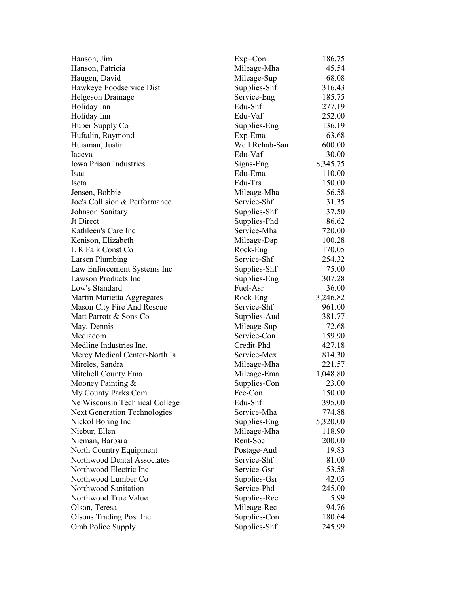| Hanson, Jim                         | $Exp=Con$      | 186.75   |
|-------------------------------------|----------------|----------|
| Hanson, Patricia                    | Mileage-Mha    | 45.54    |
| Haugen, David                       | Mileage-Sup    | 68.08    |
| Hawkeye Foodservice Dist            | Supplies-Shf   | 316.43   |
| Helgeson Drainage                   | Service-Eng    | 185.75   |
| Holiday Inn                         | Edu-Shf        | 277.19   |
| Holiday Inn                         | Edu-Vaf        | 252.00   |
| Huber Supply Co                     | Supplies-Eng   | 136.19   |
| Huftalin, Raymond                   | Exp-Ema        | 63.68    |
| Huisman, Justin                     | Well Rehab-San | 600.00   |
| Iaccva                              | Edu-Vaf        | 30.00    |
| <b>Iowa Prison Industries</b>       | Signs-Eng      | 8,345.75 |
| Isac                                | Edu-Ema        | 110.00   |
| Iscta                               | Edu-Trs        | 150.00   |
| Jensen, Bobbie                      | Mileage-Mha    | 56.58    |
| Joe's Collision & Performance       | Service-Shf    | 31.35    |
| Johnson Sanitary                    | Supplies-Shf   | 37.50    |
| Jt Direct                           | Supplies-Phd   | 86.62    |
| Kathleen's Care Inc                 | Service-Mha    | 720.00   |
| Kenison, Elizabeth                  | Mileage-Dap    | 100.28   |
| L R Falk Const Co                   | Rock-Eng       | 170.05   |
| Larsen Plumbing                     | Service-Shf    | 254.32   |
| Law Enforcement Systems Inc         | Supplies-Shf   | 75.00    |
| <b>Lawson Products Inc</b>          | Supplies-Eng   | 307.28   |
| Low's Standard                      | Fuel-Asr       | 36.00    |
| Martin Marietta Aggregates          | Rock-Eng       | 3,246.82 |
| Mason City Fire And Rescue          | Service-Shf    | 961.00   |
| Matt Parrott & Sons Co              | Supplies-Aud   | 381.77   |
| May, Dennis                         | Mileage-Sup    | 72.68    |
| Mediacom                            | Service-Con    | 159.90   |
| Medline Industries Inc.             | Credit-Phd     | 427.18   |
| Mercy Medical Center-North Ia       | Service-Mex    | 814.30   |
| Mireles, Sandra                     | Mileage-Mha    | 221.57   |
| Mitchell County Ema                 | Mileage-Ema    | 1,048.80 |
| Mooney Painting &                   | Supplies-Con   | 23.00    |
| My County Parks.Com                 | Fee-Con        | 150.00   |
| Ne Wisconsin Technical College      | Edu-Shf        | 395.00   |
| <b>Next Generation Technologies</b> | Service-Mha    | 774.88   |
| Nickol Boring Inc                   | Supplies-Eng   | 5,320.00 |
| Niebur, Ellen                       | Mileage-Mha    | 118.90   |
| Nieman, Barbara                     | Rent-Soc       | 200.00   |
| North Country Equipment             | Postage-Aud    | 19.83    |
| Northwood Dental Associates         | Service-Shf    | 81.00    |
| Northwood Electric Inc              | Service-Gsr    | 53.58    |
| Northwood Lumber Co                 | Supplies-Gsr   | 42.05    |
| Northwood Sanitation                | Service-Phd    | 245.00   |
| Northwood True Value                | Supplies-Rec   | 5.99     |
| Olson, Teresa                       | Mileage-Rec    | 94.76    |
| <b>Olsons Trading Post Inc</b>      | Supplies-Con   | 180.64   |
| Omb Police Supply                   | Supplies-Shf   | 245.99   |